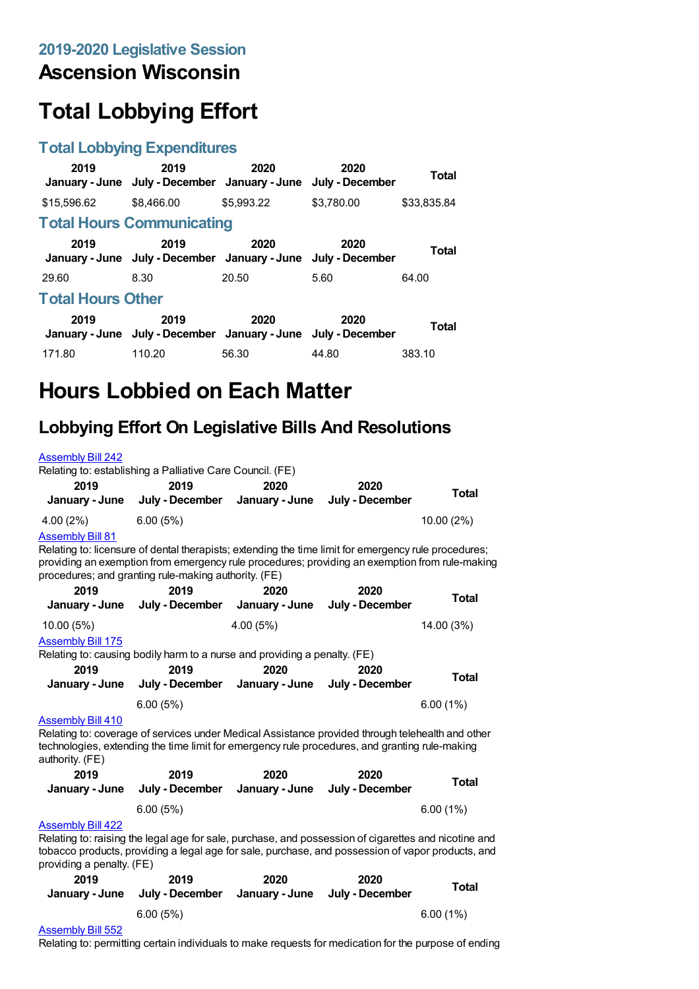## **Ascension Wisconsin**

# **Total Lobbying Effort**

#### **Total Lobbying Expenditures**

| 2019                     | 2019<br>January - June July - December January - June                 | 2020       | 2020<br>July - December | Total       |  |
|--------------------------|-----------------------------------------------------------------------|------------|-------------------------|-------------|--|
| \$15,596.62              | \$8,466.00                                                            | \$5,993.22 | \$3,780.00              | \$33,835.84 |  |
|                          | <b>Total Hours Communicating</b>                                      |            |                         |             |  |
| 2019                     | 2019<br>January - June July - December January - June July - December | 2020       | 2020                    | Total       |  |
| 29.60                    | 8.30                                                                  | 20.50      | 5.60                    | 64.00       |  |
| <b>Total Hours Other</b> |                                                                       |            |                         |             |  |
| 2019                     | 2019<br>January - June July - December January - June July - December | 2020       | 2020                    | Total       |  |
| 171.80                   | 110.20                                                                | 56.30      | 44.80                   | 383.10      |  |

## **Hours Lobbied on Each Matter**

### **Lobbying Effort On Legislative Bills And Resolutions**

|                                                                                                                                                                                                                                                                                           | Relating to: establishing a Palliative Care Council. (FE)                                                                                                                                                 |                        |                         |              |  |
|-------------------------------------------------------------------------------------------------------------------------------------------------------------------------------------------------------------------------------------------------------------------------------------------|-----------------------------------------------------------------------------------------------------------------------------------------------------------------------------------------------------------|------------------------|-------------------------|--------------|--|
| 2019                                                                                                                                                                                                                                                                                      | 2019                                                                                                                                                                                                      | 2020                   | 2020                    | <b>Total</b> |  |
| January - June                                                                                                                                                                                                                                                                            | July - December                                                                                                                                                                                           | January - June         | July - December         |              |  |
| 4.00(2%)                                                                                                                                                                                                                                                                                  | 6.00(5%)                                                                                                                                                                                                  |                        |                         | $10.00(2\%)$ |  |
| <b>Assembly Bill 81</b><br>Relating to: licensure of dental therapists; extending the time limit for emergency rule procedures;<br>providing an exemption from emergency rule procedures; providing an exemption from rule-making<br>procedures; and granting rule-making authority. (FE) |                                                                                                                                                                                                           |                        |                         |              |  |
| 2019                                                                                                                                                                                                                                                                                      | 2019                                                                                                                                                                                                      | 2020                   | 2020                    | <b>Total</b> |  |
| January - June                                                                                                                                                                                                                                                                            | July - December                                                                                                                                                                                           | January - June         | July - December         |              |  |
| 10.00(5%)                                                                                                                                                                                                                                                                                 |                                                                                                                                                                                                           | 4.00(5%)               |                         | 14.00 (3%)   |  |
| <b>Assembly Bill 175</b>                                                                                                                                                                                                                                                                  |                                                                                                                                                                                                           |                        |                         |              |  |
|                                                                                                                                                                                                                                                                                           | Relating to: causing bodily harm to a nurse and providing a penalty. (FE)                                                                                                                                 |                        |                         |              |  |
| 2019                                                                                                                                                                                                                                                                                      | 2019                                                                                                                                                                                                      | 2020                   | 2020                    | <b>Total</b> |  |
| January - June                                                                                                                                                                                                                                                                            | July - December                                                                                                                                                                                           | January - June         | July - December         |              |  |
|                                                                                                                                                                                                                                                                                           | 6.00(5%)                                                                                                                                                                                                  |                        |                         | 6.00(1%)     |  |
| <b>Assembly Bill 410</b><br>Relating to: coverage of services under Medical Assistance provided through telehealth and other<br>technologies, extending the time limit for emergency rule procedures, and granting rule-making                                                            |                                                                                                                                                                                                           |                        |                         |              |  |
|                                                                                                                                                                                                                                                                                           |                                                                                                                                                                                                           |                        |                         |              |  |
| authority. (FE)<br>2019<br>January - June                                                                                                                                                                                                                                                 | 2019<br>July - December                                                                                                                                                                                   | 2020<br>January - June | 2020<br>July - December | <b>Total</b> |  |
|                                                                                                                                                                                                                                                                                           | 6.00(5%)                                                                                                                                                                                                  |                        |                         |              |  |
| <b>Assembly Bill 422</b>                                                                                                                                                                                                                                                                  |                                                                                                                                                                                                           |                        |                         | 6.00(1%)     |  |
| providing a penalty. (FE)                                                                                                                                                                                                                                                                 | Relating to: raising the legal age for sale, purchase, and possession of cigarettes and nicotine and<br>tobacco products, providing a legal age for sale, purchase, and possession of vapor products, and |                        |                         |              |  |
| 2019                                                                                                                                                                                                                                                                                      | 2019                                                                                                                                                                                                      | 2020                   | 2020                    |              |  |
| January - June                                                                                                                                                                                                                                                                            | July - December                                                                                                                                                                                           | January - June         | July - December         | <b>Total</b> |  |

#### [Assembly](https://lobbying.wi.gov/What/BillInformation/2019REG/Information/17197?tab=Efforts) Bill 552

Relating to: permitting certain individuals to make requests for medication for the purpose of ending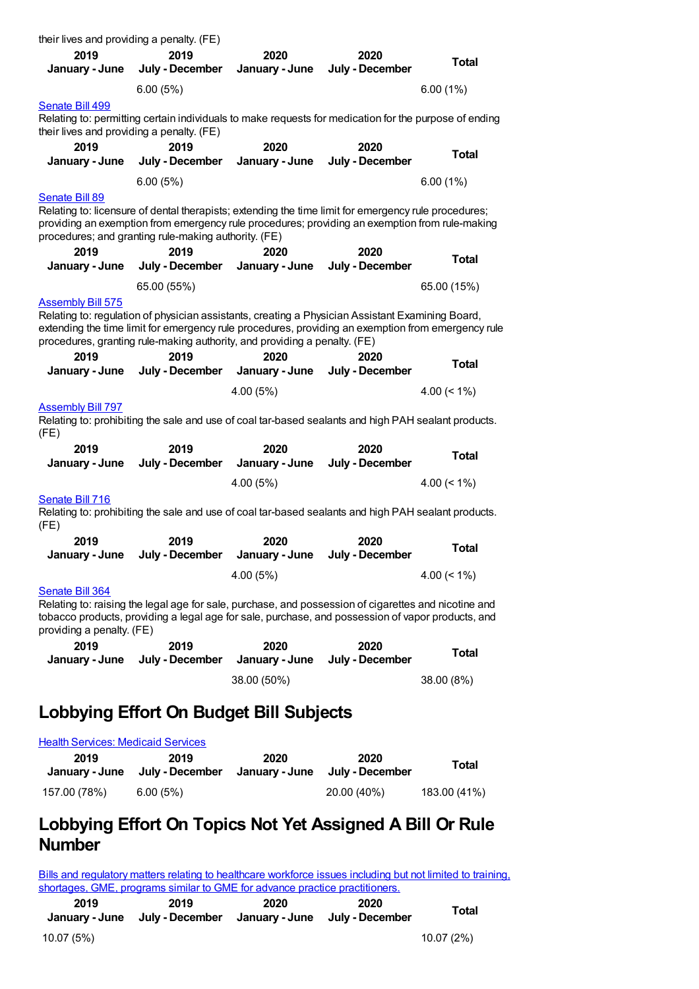| their lives and providing a penalty. (FE) |                                                      |                                                                           |                                                                                                            |                |
|-------------------------------------------|------------------------------------------------------|---------------------------------------------------------------------------|------------------------------------------------------------------------------------------------------------|----------------|
| 2019                                      | 2019                                                 | 2020                                                                      | 2020                                                                                                       | <b>Total</b>   |
| January - June                            | July - December                                      | January - June                                                            | July - December                                                                                            |                |
|                                           | 6.00(5%)                                             |                                                                           |                                                                                                            | 6.00(1%)       |
| Senate Bill 499                           |                                                      |                                                                           |                                                                                                            |                |
|                                           | their lives and providing a penalty. (FE)            |                                                                           | Relating to: permitting certain individuals to make requests for medication for the purpose of ending      |                |
| 2019                                      | 2019                                                 | 2020                                                                      | 2020                                                                                                       |                |
| January - June                            | July - December                                      | January - June                                                            | July - December                                                                                            | <b>Total</b>   |
|                                           | 6.00(5%)                                             |                                                                           |                                                                                                            | 6.00(1%)       |
| <b>Senate Bill 89</b>                     |                                                      |                                                                           |                                                                                                            |                |
|                                           |                                                      |                                                                           | Relating to: licensure of dental therapists; extending the time limit for emergency rule procedures;       |                |
|                                           | procedures; and granting rule-making authority. (FE) |                                                                           | providing an exemption from emergency rule procedures; providing an exemption from rule-making             |                |
| 2019                                      | 2019                                                 | 2020                                                                      | 2020                                                                                                       |                |
| January - June                            | July - December                                      | January - June                                                            | July - December                                                                                            | <b>Total</b>   |
|                                           | 65.00 (55%)                                          |                                                                           |                                                                                                            | 65.00 (15%)    |
| <b>Assembly Bill 575</b>                  |                                                      |                                                                           |                                                                                                            |                |
|                                           |                                                      |                                                                           | Relating to: regulation of physician assistants, creating a Physician Assistant Examining Board,           |                |
|                                           |                                                      |                                                                           | extending the time limit for emergency rule procedures, providing an exemption from emergency rule         |                |
|                                           |                                                      | procedures, granting rule-making authority, and providing a penalty. (FE) |                                                                                                            |                |
| 2019<br>January - June                    | 2019<br>July - December                              | 2020<br>January - June                                                    | 2020<br>July - December                                                                                    | <b>Total</b>   |
|                                           |                                                      |                                                                           |                                                                                                            |                |
|                                           |                                                      | 4.00(5%)                                                                  |                                                                                                            | 4.00 $(< 1\%)$ |
| <u>Assembly Bill 797</u><br>(FE)          |                                                      |                                                                           | Relating to: prohibiting the sale and use of coal tar-based sealants and high PAH sealant products.        |                |
| 2019                                      | 2019                                                 | 2020                                                                      | 2020                                                                                                       |                |
| January - June                            | July - December                                      | January - June                                                            | July - December                                                                                            | <b>Total</b>   |
|                                           |                                                      | 4.00 (5%)                                                                 |                                                                                                            | 4.00 $(< 1\%)$ |
| Senate Bill 716                           |                                                      |                                                                           |                                                                                                            |                |
|                                           |                                                      |                                                                           | Relating to: prohibiting the sale and use of coal tar-based sealants and high PAH sealant products.        |                |
| (FE)                                      |                                                      |                                                                           |                                                                                                            |                |
| 2019<br>January - June                    | 2019<br>July - December                              | 2020<br>January - June                                                    | 2020<br>July - December                                                                                    | <b>Total</b>   |
|                                           |                                                      |                                                                           |                                                                                                            |                |
|                                           |                                                      | 4.00 (5%)                                                                 |                                                                                                            | 4.00 $(< 1\%)$ |
| Senate Bill 364                           |                                                      |                                                                           | Relating to: raising the legal age for sale, purchase, and possession of cigarettes and nicotine and       |                |
|                                           |                                                      |                                                                           | tobacco products, providing a legal age for sale, purchase, and possession of vapor products, and          |                |
| providing a penalty. (FE)                 |                                                      |                                                                           |                                                                                                            |                |
| 2019                                      | 2019                                                 | 2020                                                                      | 2020                                                                                                       | Total          |
| January - June                            | July - December                                      | January - June                                                            | July - December                                                                                            |                |
|                                           |                                                      | 38.00 (50%)                                                               |                                                                                                            | 38.00 (8%)     |
|                                           |                                                      |                                                                           |                                                                                                            |                |
|                                           |                                                      | Lobbying Effort On Budget Bill Subjects                                   |                                                                                                            |                |
| <b>Health Services: Medicaid Services</b> |                                                      |                                                                           |                                                                                                            |                |
| 2019                                      | 2019                                                 | 2020                                                                      | 2020                                                                                                       |                |
| January - June                            | July - December                                      | January - June                                                            | July - December                                                                                            | Total          |
| 157.00 (78%)                              | 6.00(5%)                                             |                                                                           | 20.00 (40%)                                                                                                | 183.00 (41%)   |
|                                           |                                                      |                                                                           |                                                                                                            |                |
| <b>Number</b>                             |                                                      |                                                                           | Lobbying Effort On Topics Not Yet Assigned A Bill Or Rule                                                  |                |
|                                           |                                                      |                                                                           |                                                                                                            |                |
|                                           |                                                      |                                                                           | Rille and requisions matters relating to boalthcare workforce issues including but not limited to training |                |

Bills and regulatory matters relating to [healthcare](https://lobbying.wi.gov/What/TopicInformation/2019REG/Information/42437?tab=Efforts) workforce issues including but not limited to training, shortages, GME, programs similar to GME for advance practice practitioners.

| 2019 | 2019                                                          | 2020 | 2020 | Total |
|------|---------------------------------------------------------------|------|------|-------|
|      | January - June July - December January - June July - December |      |      |       |